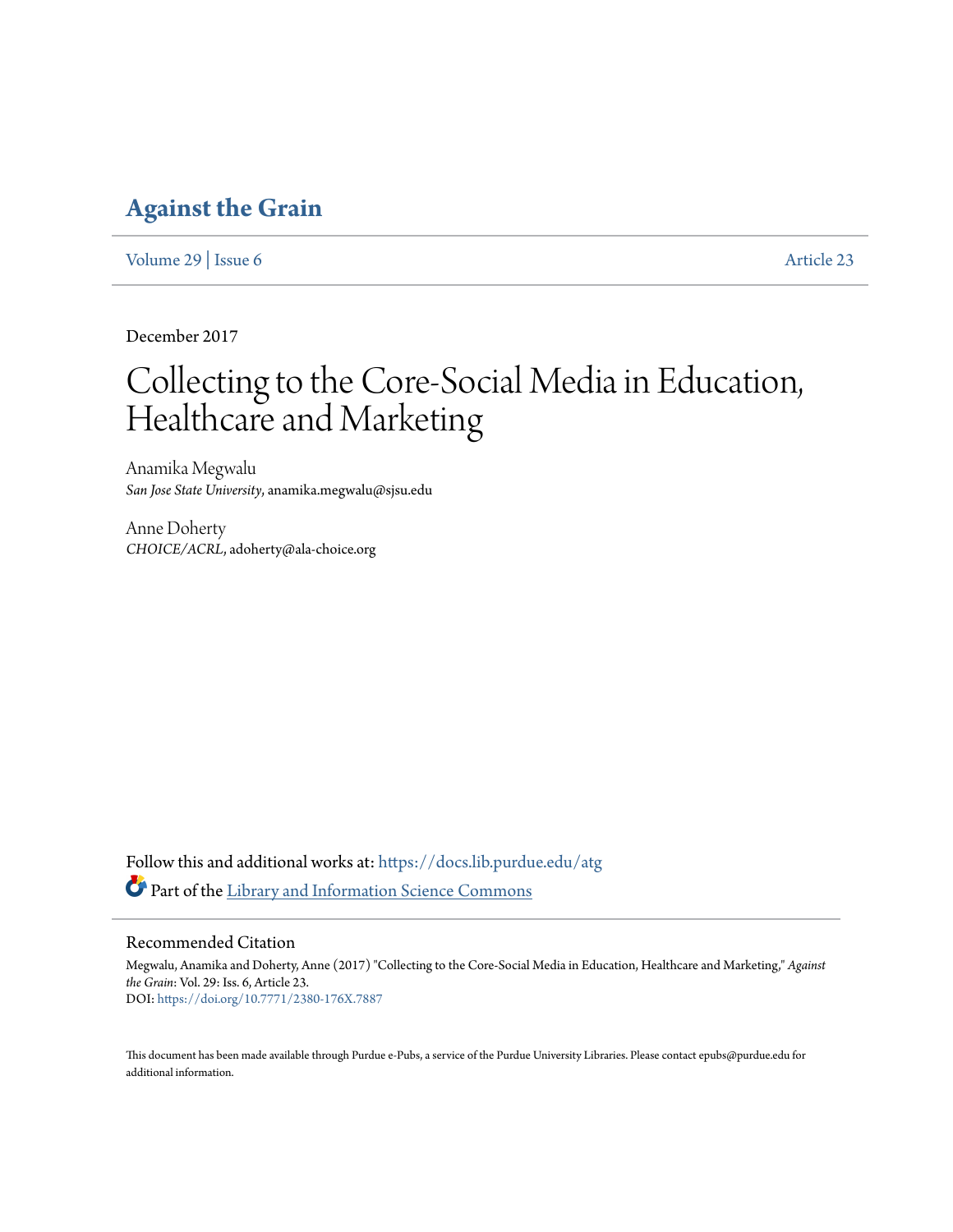### **[Against the Grain](https://docs.lib.purdue.edu/atg?utm_source=docs.lib.purdue.edu%2Fatg%2Fvol29%2Fiss6%2F23&utm_medium=PDF&utm_campaign=PDFCoverPages)**

[Volume 29](https://docs.lib.purdue.edu/atg/vol29?utm_source=docs.lib.purdue.edu%2Fatg%2Fvol29%2Fiss6%2F23&utm_medium=PDF&utm_campaign=PDFCoverPages) | [Issue 6](https://docs.lib.purdue.edu/atg/vol29/iss6?utm_source=docs.lib.purdue.edu%2Fatg%2Fvol29%2Fiss6%2F23&utm_medium=PDF&utm_campaign=PDFCoverPages) [Article 23](https://docs.lib.purdue.edu/atg/vol29/iss6/23?utm_source=docs.lib.purdue.edu%2Fatg%2Fvol29%2Fiss6%2F23&utm_medium=PDF&utm_campaign=PDFCoverPages)

December 2017

# Collecting to the Core-Social Media in Education, Healthcare and Marketing

Anamika Megwalu *San Jose State University*, anamika.megwalu@sjsu.edu

Anne Doherty *CHOICE/ACRL*, adoherty@ala-choice.org

Follow this and additional works at: [https://docs.lib.purdue.edu/atg](https://docs.lib.purdue.edu/atg?utm_source=docs.lib.purdue.edu%2Fatg%2Fvol29%2Fiss6%2F23&utm_medium=PDF&utm_campaign=PDFCoverPages) Part of the [Library and Information Science Commons](http://network.bepress.com/hgg/discipline/1018?utm_source=docs.lib.purdue.edu%2Fatg%2Fvol29%2Fiss6%2F23&utm_medium=PDF&utm_campaign=PDFCoverPages)

### Recommended Citation

Megwalu, Anamika and Doherty, Anne (2017) "Collecting to the Core-Social Media in Education, Healthcare and Marketing," *Against the Grain*: Vol. 29: Iss. 6, Article 23. DOI: <https://doi.org/10.7771/2380-176X.7887>

This document has been made available through Purdue e-Pubs, a service of the Purdue University Libraries. Please contact epubs@purdue.edu for additional information.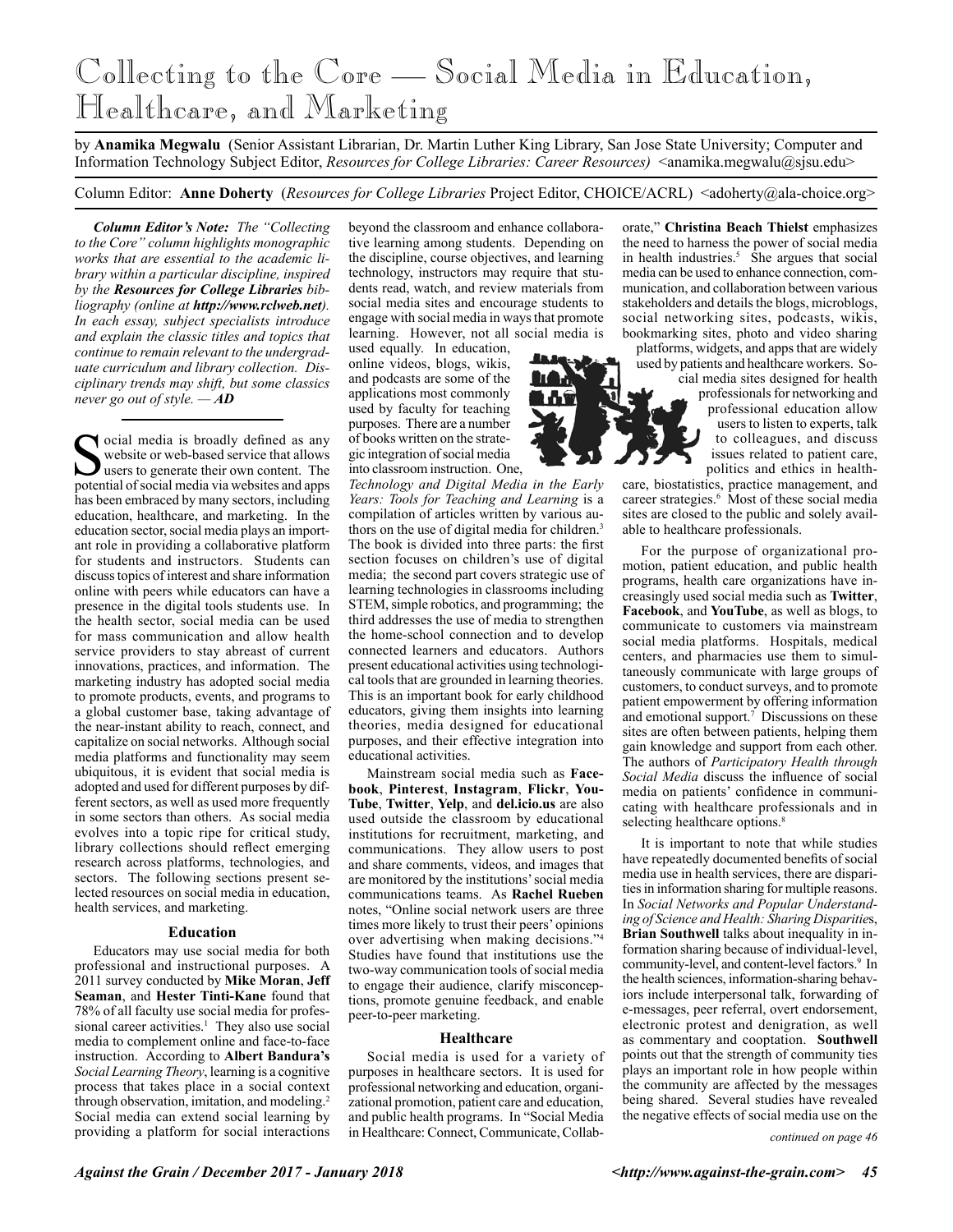## Collecting to the Core — Social Media in Education, Healthcare, and Marketing

by **Anamika Megwalu** (Senior Assistant Librarian, Dr. Martin Luther King Library, San Jose State University; Computer and Information Technology Subject Editor, *Resources for College Libraries: Career Resources*) <anamika.megwalu@sjsu.edu>

Column Editor: **Anne Doherty** (*Resources for College Libraries* Project Editor, CHOICE/ACRL) <adoherty@ala-choice.org>

*Column Editor's Note: The "Collecting to the Core" column highlights monographic works that are essential to the academic library within a particular discipline, inspired by the Resources for College Libraries bibliography (online at http://www.rclweb.net). In each essay, subject specialists introduce and explain the classic titles and topics that continue to remain relevant to the undergraduate curriculum and library collection. Disciplinary trends may shift, but some classics never go out of style. — AD*

Social media is broadly defined as any<br>website or web-based service that allows<br>users to generate their own content. The<br>notential of social media via websites and anns website or web-based service that allows users to generate their own content. The potential of social media via websites and apps has been embraced by many sectors, including education, healthcare, and marketing. In the education sector, social media plays an important role in providing a collaborative platform for students and instructors. Students can discuss topics of interest and share information online with peers while educators can have a presence in the digital tools students use. In the health sector, social media can be used for mass communication and allow health service providers to stay abreast of current innovations, practices, and information. The marketing industry has adopted social media to promote products, events, and programs to a global customer base, taking advantage of the near-instant ability to reach, connect, and capitalize on social networks. Although social media platforms and functionality may seem ubiquitous, it is evident that social media is adopted and used for different purposes by different sectors, as well as used more frequently in some sectors than others. As social media evolves into a topic ripe for critical study, library collections should reflect emerging research across platforms, technologies, and sectors. The following sections present selected resources on social media in education, health services, and marketing.

#### **Education**

Educators may use social media for both professional and instructional purposes. A 2011 survey conducted by **Mike Moran**, **Jeff Seaman**, and **Hester Tinti-Kane** found that 78% of all faculty use social media for professional career activities.<sup>1</sup> They also use social media to complement online and face-to-face instruction. According to **Albert Bandura's**  *Social Learning Theory*, learning is a cognitive process that takes place in a social context through observation, imitation, and modeling.2 Social media can extend social learning by providing a platform for social interactions

beyond the classroom and enhance collaborative learning among students. Depending on the discipline, course objectives, and learning technology, instructors may require that students read, watch, and review materials from social media sites and encourage students to engage with social media in ways that promote learning. However, not all social media is

used equally. In education, online videos, blogs, wikis, and podcasts are some of the applications most commonly used by faculty for teaching purposes. There are a number of books written on the strategic integration of social media into classroom instruction. One,

*Technology and Digital Media in the Early Years: Tools for Teaching and Learning* is a compilation of articles written by various authors on the use of digital media for children.3 The book is divided into three parts: the first section focuses on children's use of digital media; the second part covers strategic use of learning technologies in classrooms including STEM, simple robotics, and programming; the third addresses the use of media to strengthen the home-school connection and to develop connected learners and educators. Authors present educational activities using technological tools that are grounded in learning theories. This is an important book for early childhood educators, giving them insights into learning theories, media designed for educational purposes, and their effective integration into educational activities.

Mainstream social media such as **Facebook**, **Pinterest**, **Instagram**, **Flickr**, **You-Tube**, **Twitter**, **Yelp**, and **del.icio.us** are also used outside the classroom by educational institutions for recruitment, marketing, and communications. They allow users to post and share comments, videos, and images that are monitored by the institutions' social media communications teams. As **Rachel Rueben** notes, "Online social network users are three times more likely to trust their peers' opinions over advertising when making decisions."4 Studies have found that institutions use the two-way communication tools of social media to engage their audience, clarify misconceptions, promote genuine feedback, and enable peer-to-peer marketing.

#### **Healthcare**

Social media is used for a variety of purposes in healthcare sectors. It is used for professional networking and education, organizational promotion, patient care and education, and public health programs. In "Social Media in Healthcare: Connect, Communicate, Collaborate," **Christina Beach Thielst** emphasizes the need to harness the power of social media in health industries.<sup>5</sup> She argues that social media can be used to enhance connection, communication, and collaboration between various stakeholders and details the blogs, microblogs, social networking sites, podcasts, wikis, bookmarking sites, photo and video sharing platforms, widgets, and apps that are widely

used by patients and healthcare workers. Social media sites designed for health professionals for networking and professional education allow users to listen to experts, talk to colleagues, and discuss issues related to patient care, politics and ethics in health-

care, biostatistics, practice management, and career strategies.<sup>6</sup> Most of these social media sites are closed to the public and solely available to healthcare professionals.

For the purpose of organizational promotion, patient education, and public health programs, health care organizations have increasingly used social media such as **Twitter**, **Facebook**, and **YouTube**, as well as blogs, to communicate to customers via mainstream social media platforms. Hospitals, medical centers, and pharmacies use them to simultaneously communicate with large groups of customers, to conduct surveys, and to promote patient empowerment by offering information and emotional support.7 Discussions on these sites are often between patients, helping them gain knowledge and support from each other. The authors of *Participatory Health through Social Media* discuss the influence of social media on patients' confidence in communicating with healthcare professionals and in selecting healthcare options.<sup>8</sup>

It is important to note that while studies have repeatedly documented benefits of social media use in health services, there are disparities in information sharing for multiple reasons. In *Social Networks and Popular Understanding of Science and Health: Sharing Disparitie*s, **Brian Southwell** talks about inequality in information sharing because of individual-level, community-level, and content-level factors.<sup>9</sup> In the health sciences, information-sharing behaviors include interpersonal talk, forwarding of e-messages, peer referral, overt endorsement, electronic protest and denigration, as well as commentary and cooptation. **Southwell** points out that the strength of community ties plays an important role in how people within the community are affected by the messages being shared. Several studies have revealed the negative effects of social media use on the

*continued on page 46*